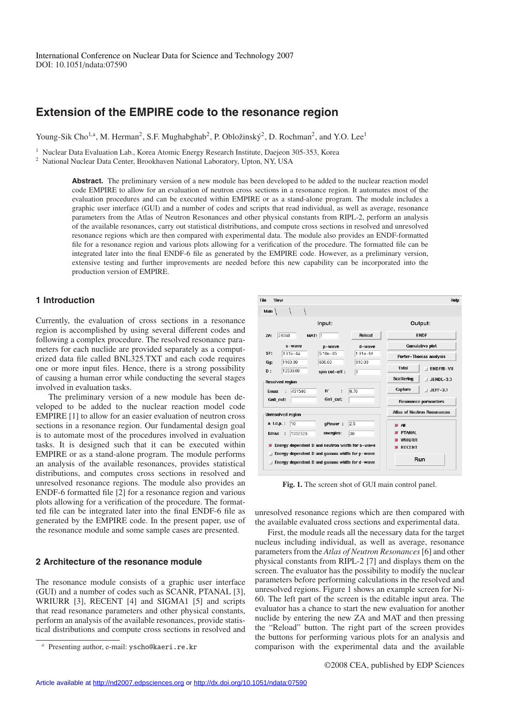# **Extension of the EMPIRE code to the resonance region**

Young-Sik Cho<sup>1,a</sup>, M. Herman<sup>2</sup>, S.F. Mughabghab<sup>2</sup>, P. Obložinský<sup>2</sup>, D. Rochman<sup>2</sup>, and Y.O. Lee<sup>1</sup>

<sup>1</sup> Nuclear Data Evaluation Lab., Korea Atomic Energy Research Institute, Daejeon 305-353, Korea

<sup>2</sup> National Nuclear Data Center, Brookhaven National Laboratory, Upton, NY, USA

**Abstract.** The preliminary version of a new module has been developed to be added to the nuclear reaction model code EMPIRE to allow for an evaluation of neutron cross sections in a resonance region. It automates most of the evaluation procedures and can be executed within EMPIRE or as a stand-alone program. The module includes a graphic user interface (GUI) and a number of codes and scripts that read individual, as well as average, resonance parameters from the Atlas of Neutron Resonances and other physical constants from RIPL-2, perform an analysis of the available resonances, carry out statistical distributions, and compute cross sections in resolved and unresolved resonance regions which are then compared with experimental data. The module also provides an ENDF-formatted file for a resonance region and various plots allowing for a verification of the procedure. The formatted file can be integrated later into the final ENDF-6 file as generated by the EMPIRE code. However, as a preliminary version, extensive testing and further improvements are needed before this new capability can be incorporated into the production version of EMPIRE.

## **1 Introduction**

Currently, the evaluation of cross sections in a resonance region is accomplished by using several different codes and following a complex procedure. The resolved resonance parameters for each nuclide are provided separately as a computerized data file called BNL325.TXT and each code requires one or more input files. Hence, there is a strong possibility of causing a human error while conducting the several stages involved in evaluation tasks.

The preliminary version of a new module has been developed to be added to the nuclear reaction model code EMPIRE [1] to allow for an easier evaluation of neutron cross sections in a resonance region. Our fundamental design goal is to automate most of the procedures involved in evaluation tasks. It is designed such that it can be executed within EMPIRE or as a stand-alone program. The module performs an analysis of the available resonances, provides statistical distributions, and computes cross sections in resolved and unresolved resonance regions. The module also provides an ENDF-6 formatted file [2] for a resonance region and various plots allowing for a verification of the procedure. The formatted file can be integrated later into the final ENDF-6 file as generated by the EMPIRE code. In the present paper, use of the resonance module and some sample cases are presented.

## **2 Architecture of the resonance module**

The resonance module consists of a graphic user interface (GUI) and a number of codes such as SCANR, PTANAL [3], WRIURR [3], RECENT [4] and SIGMA1 [5] and scripts that read resonance parameters and other physical constants, perform an analysis of the available resonances, provide statistical distributions and compute cross sections in resolved and



**Fig. 1.** The screen shot of GUI main control panel.

unresolved resonance regions which are then compared with the available evaluated cross sections and experimental data.

First, the module reads all the necessary data for the target nucleus including individual, as well as average, resonance parameters from the *Atlas of Neutron Resonances*[6] and other physical constants from RIPL-2 [7] and displays them on the screen. The evaluator has the possibility to modify the nuclear parameters before performing calculations in the resolved and unresolved regions. Figure 1 shows an example screen for Ni-60. The left part of the screen is the editable input area. The evaluator has a chance to start the new evaluation for another nuclide by entering the new ZA and MAT and then pressing the "Reload" button. The right part of the screen provides the buttons for performing various plots for an analysis and comparison with the experimental data and the available

Presenting author, e-mail: yscho@kaeri.re.kr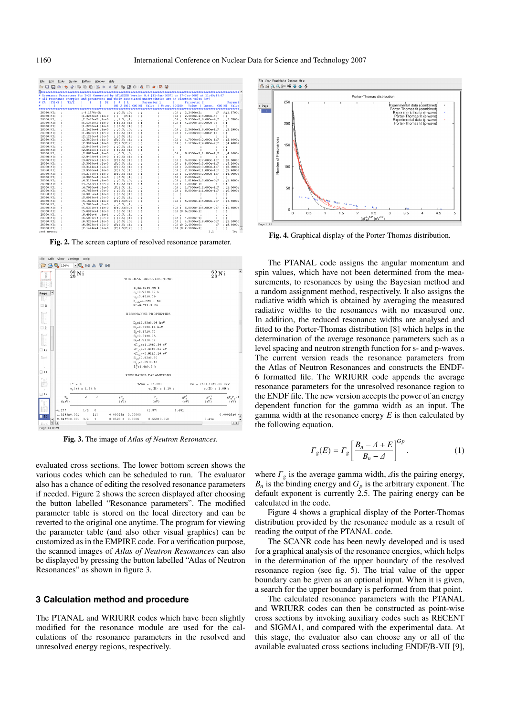| File | Edit                     | Tools | Syntax                                         | <b>Buffers</b>                         | Window |    | Help                               |                                     |             |         |                                                                                                       |                                                                                                               |                                    |
|------|--------------------------|-------|------------------------------------------------|----------------------------------------|--------|----|------------------------------------|-------------------------------------|-------------|---------|-------------------------------------------------------------------------------------------------------|---------------------------------------------------------------------------------------------------------------|------------------------------------|
| D W  |                          |       | $\hat{\boldsymbol{\omega}}$ $\boldsymbol{\Xi}$ | 脑白                                     |        |    |                                    |                                     |             |         |                                                                                                       |                                                                                                               |                                    |
|      | ***********              |       |                                                |                                        |        |    |                                    |                                     |             |         |                                                                                                       |                                                                                                               |                                    |
|      |                          |       |                                                |                                        |        |    |                                    |                                     |             |         |                                                                                                       | # Resonance Parameters for Z=28 Generated by ATLAS2DB Version 0.4 [11-Jan-2007] on 17-Jan-2007 at 11:49:45:97 |                                    |
|      |                          |       |                                                |                                        |        |    |                                    |                                     |             |         | # All resonance energies and parameters and their associated uncertainties are in electron Volts (eV) |                                                                                                               |                                    |
|      | # ZA ISYINS              |       | T1/2                                           | R                                      |        | DE | $\mathcal{X}$                      | $\perp$ 1<br>MI J IMILICODIMI Value | Parameter 1 |         | Parameter <sub>2</sub><br>  Uncer, [CODIM] Value                                                      | I Uncer.                                                                                                      | Paramet<br><b>LCOD MI</b><br>Value |
|      |                          |       |                                                |                                        |        |    |                                    |                                     |             |         |                                                                                                       |                                                                                                               |                                    |
|      | 28060:NI:                |       |                                                | $:-4.1770e+3$ :                        |        |    | : 10.5: 101                        |                                     |             |         | :CA : :2.2490e+2:                                                                                     | :F                                                                                                            | :A:1.3700e                         |
|      | 28060;NI:                |       |                                                | $:1.3263e+3:1e+0$                      |        |    | $1 - 1$                            | : <b>F</b> :1:                      |             |         | :CA : :2.5000e-4:3.000e-5:                                                                            |                                                                                                               | $\mathbb{R}^n$                     |
|      | 28060:NI:                |       |                                                | $:2.2487e+3:1e+0$                      |        |    | : :1.5: :1:                        |                                     |             |         |                                                                                                       | :CA : :5.9300e-2:6.000e-4:F                                                                                   | : 5.5300e                          |
|      | 28060:NI:                |       |                                                | :5.5341e+3 :1e+0                       |        |    | : 1.5: 11                          |                                     |             |         | :CA : :4.1000e-2:3.000e-3:                                                                            |                                                                                                               |                                    |
|      | 28060:NI:                |       |                                                | $:1.2206e+4:1e+0$                      |        |    |                                    | :0.5:11:                            |             |         |                                                                                                       |                                                                                                               |                                    |
|      | 28060:NI:                |       |                                                | $:1.2423e+4:1e+0$                      |        |    | : 10.5: 10:                        |                                     |             |         |                                                                                                       | :CA : :2.3490e+3:6.000e+1:F                                                                                   | :2.2900e                           |
|      | 28060;NI:                |       |                                                | $:1.3606e+4:1e+0$                      |        |    | : 10.5: 11                         |                                     |             |         | :CA : :1.1000e+0:3.000e-1:                                                                            |                                                                                                               |                                    |
|      | 28060;NI;                |       |                                                | $:2.1286e+4:2e+0$                      |        |    | : 10.5: 11                         |                                     |             |         |                                                                                                       |                                                                                                               |                                    |
|      | 28060:NI:                |       |                                                | $:2.3802e+4:1e+0$                      |        |    | : F: 0.5: : 1:                     |                                     |             |         |                                                                                                       | :CA : :4.7000e+0:2.000e-1:F                                                                                   | :2.4000e                           |
|      | 28060;NI:                |       |                                                | :2.3912e+4 :1e+0                       |        |    | : F: 1.5: F: 2:                    |                                     |             | :CA     |                                                                                                       | $: 1.1700e-1:4.000e-2: F$                                                                                     | : 4.4000e                          |
|      | 28060:NI:                |       |                                                | $:2.8465e+4:2e+0$                      |        |    | : 10.5: 11                         |                                     |             |         |                                                                                                       |                                                                                                               |                                    |
|      | 28060;NI;                |       |                                                | :2.8515e+4 :2e+0                       |        |    | : 10.5: 11                         |                                     |             |         |                                                                                                       |                                                                                                               |                                    |
|      | 28060;NI:                |       |                                                | :2.8675e+4 :1e+0                       |        |    | : 10.5: 101                        |                                     |             | :CA     |                                                                                                       | $:6.8500e + 2:1.500e + 1:F$                                                                                   | : 4.1000e                          |
|      | 28060;NI;<br>28060:NI:   |       |                                                | $:2.9498e+4:2e+0$                      |        |    | : 10.5: 11<br>: <b>F</b> :1.5: :1: |                                     |             |         |                                                                                                       | :CA : :8.0000e-1:2.000e-1:F                                                                                   | :3.6000e                           |
|      | 28060;NI:                |       |                                                | ;3.0279e+4 ;1e+0<br>$:3.3039e+4:2e+0$  |        |    | : F: 0.5: : 1:                     |                                     |             |         |                                                                                                       | :CA : :8.0000e+0:3.000e-1:F                                                                                   | :5.2000e                           |
|      | 28060:NI:                |       |                                                | $:3.3414e+4:2e+0$                      |        |    | $: F : O . S : I : I :$            |                                     |             |         |                                                                                                       | :CA : : 9.8000e+0:3.000e-1:F                                                                                  | :3.0000e                           |
|      | 28060:NI:                |       |                                                | :3.9560e+4 :1e+0                       |        |    | :F:1.5: :1:                        |                                     |             |         |                                                                                                       | :CA : :2.3000e+0:1.000e-1:F                                                                                   | :3.4000e                           |
|      | 28060;NI:                |       |                                                | $:4.2735e+4:1e+0$                      |        |    | : F: 0.5: : 1:                     |                                     |             |         |                                                                                                       | :CA : :1.4000e+0:2.000e-1:F                                                                                   | : 4.0000e                          |
|      | 28060:NI:                |       |                                                | $:4.3007e+4:2e+0$                      |        |    | : 0.5: 11                          |                                     |             |         | :CA : :2.0000e+0;                                                                                     |                                                                                                               |                                    |
|      | 28060:NI:                |       |                                                | :4.3133e+4 :1e+0                       |        |    | : 10.5: 101                        |                                     |             |         |                                                                                                       | :CA : :1.0140e+2:3.000e+0:F                                                                                   | :1.8000e                           |
|      | 28060;NI:                |       |                                                | $:4.7567e+4:5e+0$                      |        |    | : 10.5: 11                         |                                     |             |         | :CA : :1.0000e-1:                                                                                     |                                                                                                               |                                    |
|      | 28060:NI:                |       |                                                | $:4.7630e+4:3e+0$                      |        |    | $;F;1.5;$ :1:                      |                                     |             |         |                                                                                                       | :CA : :1.7000e+0:2.000e-1:F                                                                                   | :1.0000e                           |
|      | 28060:NI:                |       |                                                | :4.7658e+4 :5e+0                       |        |    | : 10.5: 11                         |                                     |             |         |                                                                                                       | :CA: : :6.0000e-1:1.000e-1:F                                                                                  | :6,0000e                           |
|      | 28060;NI:                |       |                                                | $:4.9835e+4:1e+0$                      |        |    | : 10.5: 11                         |                                     |             |         |                                                                                                       |                                                                                                               |                                    |
|      | 28060:NI:                |       |                                                | $:5.0963e+4$ :2e+0                     |        |    | : 10.5: 11                         |                                     |             |         |                                                                                                       |                                                                                                               |                                    |
|      | 28060:NI:                |       |                                                | :5.1628e+4 :1e+0                       |        |    | : F: 1.5: F: 2:                    |                                     |             | $C_A$ : |                                                                                                       | :8.5000e-1:5.000e-2:F                                                                                         | : 5.5000e                          |
|      | 28060;NI:                |       |                                                | $:5.2696e+4:3e+0$                      |        |    | : 10.5: 11                         |                                     |             |         |                                                                                                       |                                                                                                               |                                    |
|      | 28060:NI:                |       |                                                | $:5.6331e+4:1e+0$                      |        |    | ;F;0.5;F;2;                        |                                     |             |         |                                                                                                       | :CA : : 6.0000e-1:5.000e-2:F                                                                                  | : 5.6000e                          |
|      | 28060;NI:                |       |                                                | :5.6919e+4 :1e+0                       |        |    | : 10.5: 11                         |                                     |             |         | :CA :M:6.2000e-1:                                                                                     |                                                                                                               |                                    |
|      | 28060;NI;                |       |                                                | $:6.492e+4$ :1e+1                      |        |    | : 10.5: 11                         |                                     |             |         |                                                                                                       |                                                                                                               |                                    |
|      | 28060:NI:                |       |                                                | $:6.5091e+4.6e+0$                      |        |    | : 10.5: 11                         |                                     |             |         | :CA : :4.0000e-1:                                                                                     |                                                                                                               |                                    |
|      | 28060;NI:<br>28060:NI:   |       |                                                | $:6.5238e+4:1e+0$<br>$:6.5623e+4.2e+0$ |        |    | : 10.5: 10:                        |                                     |             |         |                                                                                                       | :CA : :4.3400e+2:8.000e+0:F                                                                                   | :1.1000e<br>:8.4000e               |
|      |                          |       |                                                | :7.1424e+4 :2e+0                       |        |    | :F:1.5: :1:                        |                                     |             |         | ;CA ;M;2.4000e+0;<br>:CA :M:7.5000e-1:                                                                | : F                                                                                                           |                                    |
|      | 28060:NI:<br>set nowrap: |       |                                                |                                        |        |    | : F: 1.5: F: 2:                    |                                     |             |         |                                                                                                       | 1.1                                                                                                           | Top                                |
|      |                          |       |                                                |                                        |        |    |                                    |                                     |             |         |                                                                                                       |                                                                                                               |                                    |

**Fig. 2.** The screen capture of resolved resonance parameter.



**Fig. 3.** The image of *Atlas of Neutron Resonances*.

evaluated cross sections. The lower bottom screen shows the various codes which can be scheduled to run. The evaluator also has a chance of editing the resolved resonance parameters if needed. Figure 2 shows the screen displayed after choosing the button labelled "Resonance parameters". The modified parameter table is stored on the local directory and can be reverted to the original one anytime. The program for viewing the parameter table (and also other visual graphics) can be customized as in the EMPIRE code. For a verification purpose, the scanned images of *Atlas of Neutron Resonances* can also be displayed by pressing the button labelled "Atlas of Neutron Resonances" as shown in figure 3.

# **3 Calculation method and procedure**

The PTANAL and WRIURR codes which have been slightly modified for the resonance module are used for the calculations of the resonance parameters in the resolved and unresolved energy regions, respectively.



**Fig. 4.** Graphical display of the Porter-Thomas distribution.

The PTANAL code assigns the angular momentum and spin values, which have not been determined from the measurements, to resonances by using the Bayesian method and a random assignment method, respectively. It also assigns the radiative width which is obtained by averaging the measured radiative widths to the resonances with no measured one. In addition, the reduced resonance widths are analysed and fitted to the Porter-Thomas distribution [8] which helps in the determination of the average resonance parameters such as a level spacing and neutron strength function for s- and p-waves. The current version reads the resonance parameters from the Atlas of Neutron Resonances and constructs the ENDF-6 formatted file. The WRIURR code appends the average resonance parameters for the unresolved resonance region to the ENDF file. The new version accepts the power of an energy dependent function for the gamma width as an input. The gamma width at the resonance energy *E* is then calculated by the following equation.

$$
\Gamma_g(E) = \Gamma_g \left[ \frac{B_n - \Delta + E}{B_n - \Delta} \right]^{Gp} . \tag{1}
$$

where  $\Gamma_{\varrho}$  is the average gamma width,  $\varDelta$  is the pairing energy,  $B_n$  is the binding energy and  $G_p$  is the arbitrary exponent. The default exponent is currently 2.5. The pairing energy can be calculated in the code.

Figure 4 shows a graphical display of the Porter-Thomas distribution provided by the resonance module as a result of reading the output of the PTANAL code.

The SCANR code has been newly developed and is used for a graphical analysis of the resonance energies, which helps in the determination of the upper boundary of the resolved resonance region (see fig. 5). The trial value of the upper boundary can be given as an optional input. When it is given, a search for the upper boundary is performed from that point.

The calculated resonance parameters with the PTANAL and WRIURR codes can then be constructed as point-wise cross sections by invoking auxiliary codes such as RECENT and SIGMA1, and compared with the experimental data. At this stage, the evaluator also can choose any or all of the available evaluated cross sections including ENDF/B-VII [9],